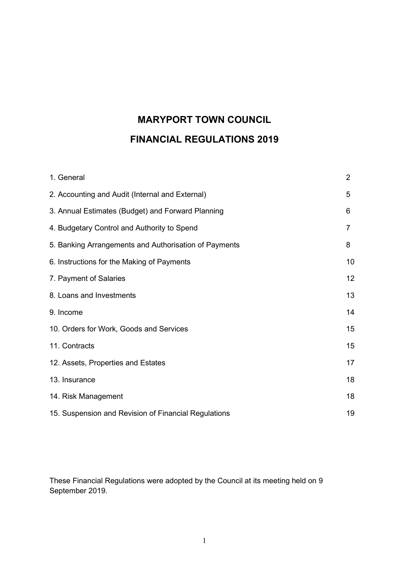# MARYPORT TOWN COUNCIL FINANCIAL REGULATIONS 2019

| 1. General                                            | $\overline{2}$ |
|-------------------------------------------------------|----------------|
| 2. Accounting and Audit (Internal and External)       | 5              |
| 3. Annual Estimates (Budget) and Forward Planning     | 6              |
| 4. Budgetary Control and Authority to Spend           | 7              |
| 5. Banking Arrangements and Authorisation of Payments | 8              |
| 6. Instructions for the Making of Payments            | 10             |
| 7. Payment of Salaries                                | 12             |
| 8. Loans and Investments                              | 13             |
| 9. Income                                             | 14             |
| 10. Orders for Work, Goods and Services               | 15             |
| 11. Contracts                                         | 15             |
| 12. Assets, Properties and Estates                    | 17             |
| 13. Insurance                                         | 18             |
| 14. Risk Management                                   | 18             |
| 15. Suspension and Revision of Financial Regulations  | 19             |

These Financial Regulations were adopted by the Council at its meeting held on 9 September 2019.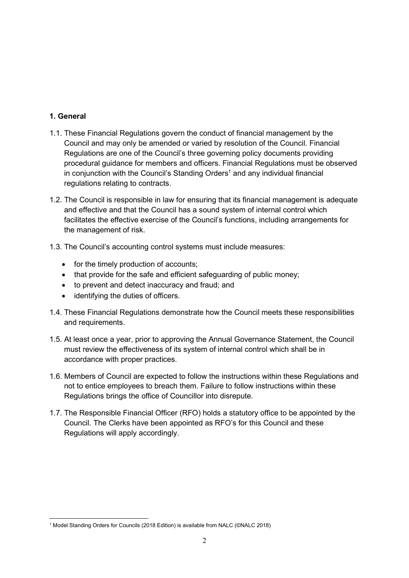## 1. General

- 1.1. These Financial Regulations govern the conduct of financial management by the Council and may only be amended or varied by resolution of the Council. Financial Regulations are one of the Council's three governing policy documents providing procedural guidance for members and officers. Financial Regulations must be observed in conjunction with the Council's Standing Orders<sup>1</sup> and any individual financial regulations relating to contracts.
- 1.2. The Council is responsible in law for ensuring that its financial management is adequate and effective and that the Council has a sound system of internal control which facilitates the effective exercise of the Council's functions, including arrangements for the management of risk.
- 1.3. The Council's accounting control systems must include measures:
	- for the timely production of accounts;
	- that provide for the safe and efficient safeguarding of public money;
	- to prevent and detect inaccuracy and fraud; and
	- identifying the duties of officers.
- 1.4. These Financial Regulations demonstrate how the Council meets these responsibilities and requirements.
- 1.5. At least once a year, prior to approving the Annual Governance Statement, the Council must review the effectiveness of its system of internal control which shall be in accordance with proper practices.
- 1.6. Members of Council are expected to follow the instructions within these Regulations and not to entice employees to breach them. Failure to follow instructions within these Regulations brings the office of Councillor into disrepute.
- 1.7. The Responsible Financial Officer (RFO) holds a statutory office to be appointed by the Council. The Clerks have been appointed as RFO's for this Council and these Regulations will apply accordingly.

<sup>1</sup> Model Standing Orders for Councils (2018 Edition) is available from NALC (©NALC 2018)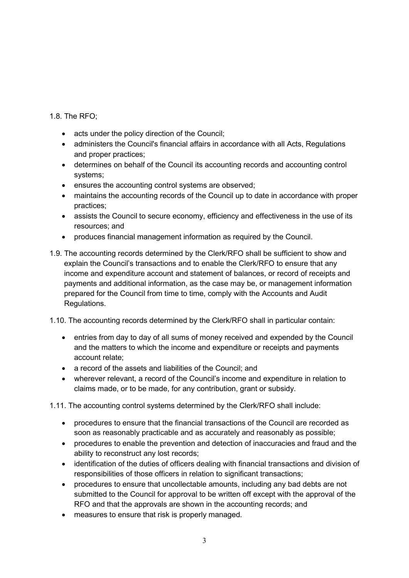1.8. The RFO;

- acts under the policy direction of the Council;
- administers the Council's financial affairs in accordance with all Acts, Regulations and proper practices;
- determines on behalf of the Council its accounting records and accounting control systems;
- ensures the accounting control systems are observed;
- maintains the accounting records of the Council up to date in accordance with proper practices;
- assists the Council to secure economy, efficiency and effectiveness in the use of its resources; and
- produces financial management information as required by the Council.
- 1.9. The accounting records determined by the Clerk/RFO shall be sufficient to show and explain the Council's transactions and to enable the Clerk/RFO to ensure that any income and expenditure account and statement of balances, or record of receipts and payments and additional information, as the case may be, or management information prepared for the Council from time to time, comply with the Accounts and Audit Regulations.
- 1.10. The accounting records determined by the Clerk/RFO shall in particular contain:
	- entries from day to day of all sums of money received and expended by the Council and the matters to which the income and expenditure or receipts and payments account relate;
	- a record of the assets and liabilities of the Council; and
	- wherever relevant, a record of the Council's income and expenditure in relation to claims made, or to be made, for any contribution, grant or subsidy.

1.11. The accounting control systems determined by the Clerk/RFO shall include:

- procedures to ensure that the financial transactions of the Council are recorded as soon as reasonably practicable and as accurately and reasonably as possible;
- procedures to enable the prevention and detection of inaccuracies and fraud and the ability to reconstruct any lost records;
- identification of the duties of officers dealing with financial transactions and division of responsibilities of those officers in relation to significant transactions;
- procedures to ensure that uncollectable amounts, including any bad debts are not submitted to the Council for approval to be written off except with the approval of the RFO and that the approvals are shown in the accounting records; and
- measures to ensure that risk is properly managed.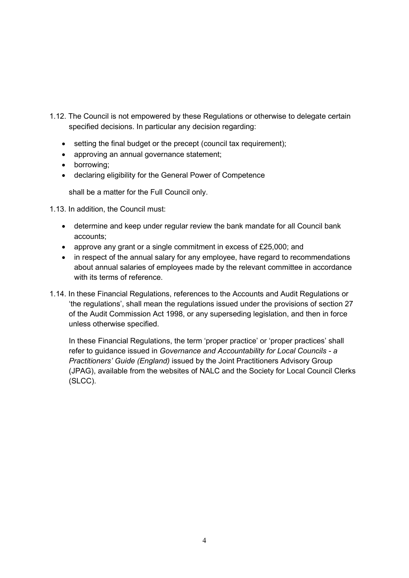- 1.12. The Council is not empowered by these Regulations or otherwise to delegate certain specified decisions. In particular any decision regarding:
	- setting the final budget or the precept (council tax requirement);
	- approving an annual governance statement;
	- borrowing;
	- declaring eligibility for the General Power of Competence

shall be a matter for the Full Council only.

1.13. In addition, the Council must:

- determine and keep under regular review the bank mandate for all Council bank accounts;
- approve any grant or a single commitment in excess of £25,000; and
- in respect of the annual salary for any employee, have regard to recommendations about annual salaries of employees made by the relevant committee in accordance with its terms of reference.
- 1.14. In these Financial Regulations, references to the Accounts and Audit Regulations or 'the regulations', shall mean the regulations issued under the provisions of section 27 of the Audit Commission Act 1998, or any superseding legislation, and then in force unless otherwise specified.

In these Financial Regulations, the term 'proper practice' or 'proper practices' shall refer to guidance issued in Governance and Accountability for Local Councils - a Practitioners' Guide (England) issued by the Joint Practitioners Advisory Group (JPAG), available from the websites of NALC and the Society for Local Council Clerks (SLCC).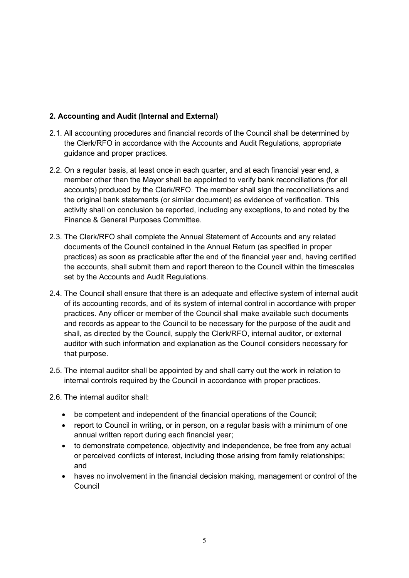# 2. Accounting and Audit (Internal and External)

- 2.1. All accounting procedures and financial records of the Council shall be determined by the Clerk/RFO in accordance with the Accounts and Audit Regulations, appropriate guidance and proper practices.
- 2.2. On a regular basis, at least once in each quarter, and at each financial year end, a member other than the Mayor shall be appointed to verify bank reconciliations (for all accounts) produced by the Clerk/RFO. The member shall sign the reconciliations and the original bank statements (or similar document) as evidence of verification. This activity shall on conclusion be reported, including any exceptions, to and noted by the Finance & General Purposes Committee.
- 2.3. The Clerk/RFO shall complete the Annual Statement of Accounts and any related documents of the Council contained in the Annual Return (as specified in proper practices) as soon as practicable after the end of the financial year and, having certified the accounts, shall submit them and report thereon to the Council within the timescales set by the Accounts and Audit Regulations.
- 2.4. The Council shall ensure that there is an adequate and effective system of internal audit of its accounting records, and of its system of internal control in accordance with proper practices. Any officer or member of the Council shall make available such documents and records as appear to the Council to be necessary for the purpose of the audit and shall, as directed by the Council, supply the Clerk/RFO, internal auditor, or external auditor with such information and explanation as the Council considers necessary for that purpose.
- 2.5. The internal auditor shall be appointed by and shall carry out the work in relation to internal controls required by the Council in accordance with proper practices.

2.6. The internal auditor shall:

- be competent and independent of the financial operations of the Council;
- report to Council in writing, or in person, on a regular basis with a minimum of one annual written report during each financial year;
- to demonstrate competence, objectivity and independence, be free from any actual or perceived conflicts of interest, including those arising from family relationships; and
- haves no involvement in the financial decision making, management or control of the Council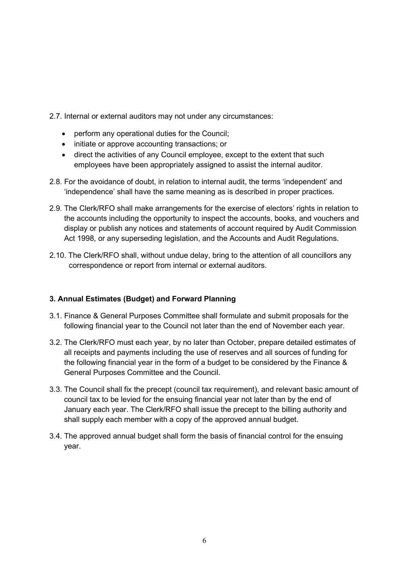- 2.7. Internal or external auditors may not under any circumstances:
	- perform any operational duties for the Council;
	- initiate or approve accounting transactions; or
	- direct the activities of any Council employee, except to the extent that such employees have been appropriately assigned to assist the internal auditor.
- 2.8. For the avoidance of doubt, in relation to internal audit, the terms 'independent' and 'independence' shall have the same meaning as is described in proper practices.
- 2.9. The Clerk/RFO shall make arrangements for the exercise of electors' rights in relation to the accounts including the opportunity to inspect the accounts, books, and vouchers and display or publish any notices and statements of account required by Audit Commission Act 1998, or any superseding legislation, and the Accounts and Audit Regulations.
- 2.10. The Clerk/RFO shall, without undue delay, bring to the attention of all councillors any correspondence or report from internal or external auditors.

## 3. Annual Estimates (Budget) and Forward Planning

- 3.1. Finance & General Purposes Committee shall formulate and submit proposals for the following financial year to the Council not later than the end of November each year.
- 3.2. The Clerk/RFO must each year, by no later than October, prepare detailed estimates of all receipts and payments including the use of reserves and all sources of funding for the following financial year in the form of a budget to be considered by the Finance & General Purposes Committee and the Council.
- 3.3. The Council shall fix the precept (council tax requirement), and relevant basic amount of council tax to be levied for the ensuing financial year not later than by the end of January each year. The Clerk/RFO shall issue the precept to the billing authority and shall supply each member with a copy of the approved annual budget.
- 3.4. The approved annual budget shall form the basis of financial control for the ensuing year.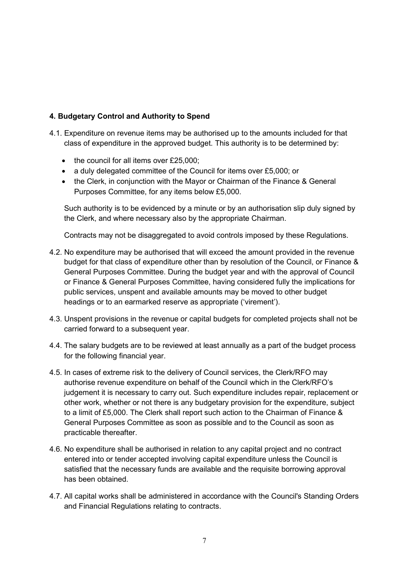# 4. Budgetary Control and Authority to Spend

- 4.1. Expenditure on revenue items may be authorised up to the amounts included for that class of expenditure in the approved budget. This authority is to be determined by:
	- $\bullet$  the council for all items over £25,000;
	- a duly delegated committee of the Council for items over £5,000; or
	- the Clerk, in conjunction with the Mayor or Chairman of the Finance & General Purposes Committee, for any items below £5,000.

Such authority is to be evidenced by a minute or by an authorisation slip duly signed by the Clerk, and where necessary also by the appropriate Chairman.

Contracts may not be disaggregated to avoid controls imposed by these Regulations.

- 4.2. No expenditure may be authorised that will exceed the amount provided in the revenue budget for that class of expenditure other than by resolution of the Council, or Finance & General Purposes Committee. During the budget year and with the approval of Council or Finance & General Purposes Committee, having considered fully the implications for public services, unspent and available amounts may be moved to other budget headings or to an earmarked reserve as appropriate ('virement').
- 4.3. Unspent provisions in the revenue or capital budgets for completed projects shall not be carried forward to a subsequent year.
- 4.4. The salary budgets are to be reviewed at least annually as a part of the budget process for the following financial year.
- 4.5. In cases of extreme risk to the delivery of Council services, the Clerk/RFO may authorise revenue expenditure on behalf of the Council which in the Clerk/RFO's judgement it is necessary to carry out. Such expenditure includes repair, replacement or other work, whether or not there is any budgetary provision for the expenditure, subject to a limit of £5,000. The Clerk shall report such action to the Chairman of Finance & General Purposes Committee as soon as possible and to the Council as soon as practicable thereafter.
- 4.6. No expenditure shall be authorised in relation to any capital project and no contract entered into or tender accepted involving capital expenditure unless the Council is satisfied that the necessary funds are available and the requisite borrowing approval has been obtained.
- 4.7. All capital works shall be administered in accordance with the Council's Standing Orders and Financial Regulations relating to contracts.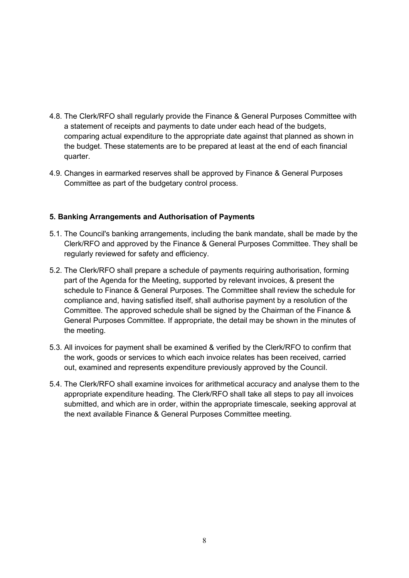- 4.8. The Clerk/RFO shall regularly provide the Finance & General Purposes Committee with a statement of receipts and payments to date under each head of the budgets, comparing actual expenditure to the appropriate date against that planned as shown in the budget. These statements are to be prepared at least at the end of each financial quarter.
- 4.9. Changes in earmarked reserves shall be approved by Finance & General Purposes Committee as part of the budgetary control process.

## 5. Banking Arrangements and Authorisation of Payments

- 5.1. The Council's banking arrangements, including the bank mandate, shall be made by the Clerk/RFO and approved by the Finance & General Purposes Committee. They shall be regularly reviewed for safety and efficiency.
- 5.2. The Clerk/RFO shall prepare a schedule of payments requiring authorisation, forming part of the Agenda for the Meeting, supported by relevant invoices, & present the schedule to Finance & General Purposes. The Committee shall review the schedule for compliance and, having satisfied itself, shall authorise payment by a resolution of the Committee. The approved schedule shall be signed by the Chairman of the Finance & General Purposes Committee. If appropriate, the detail may be shown in the minutes of the meeting.
- 5.3. All invoices for payment shall be examined & verified by the Clerk/RFO to confirm that the work, goods or services to which each invoice relates has been received, carried out, examined and represents expenditure previously approved by the Council.
- 5.4. The Clerk/RFO shall examine invoices for arithmetical accuracy and analyse them to the appropriate expenditure heading. The Clerk/RFO shall take all steps to pay all invoices submitted, and which are in order, within the appropriate timescale, seeking approval at the next available Finance & General Purposes Committee meeting.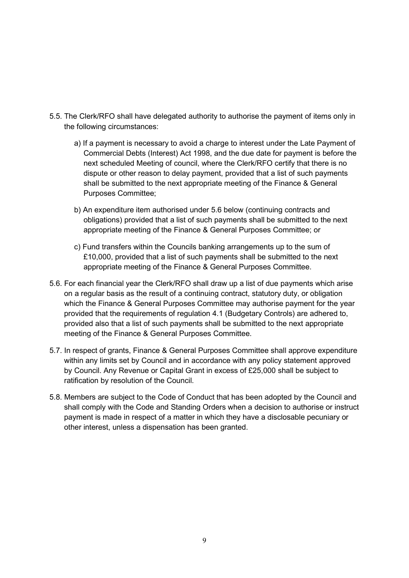- 5.5. The Clerk/RFO shall have delegated authority to authorise the payment of items only in the following circumstances:
	- a) If a payment is necessary to avoid a charge to interest under the Late Payment of Commercial Debts (Interest) Act 1998, and the due date for payment is before the next scheduled Meeting of council, where the Clerk/RFO certify that there is no dispute or other reason to delay payment, provided that a list of such payments shall be submitted to the next appropriate meeting of the Finance & General Purposes Committee;
	- b) An expenditure item authorised under 5.6 below (continuing contracts and obligations) provided that a list of such payments shall be submitted to the next appropriate meeting of the Finance & General Purposes Committee; or
	- c) Fund transfers within the Councils banking arrangements up to the sum of £10,000, provided that a list of such payments shall be submitted to the next appropriate meeting of the Finance & General Purposes Committee.
- 5.6. For each financial year the Clerk/RFO shall draw up a list of due payments which arise on a regular basis as the result of a continuing contract, statutory duty, or obligation which the Finance & General Purposes Committee may authorise payment for the year provided that the requirements of regulation 4.1 (Budgetary Controls) are adhered to, provided also that a list of such payments shall be submitted to the next appropriate meeting of the Finance & General Purposes Committee.
- 5.7. In respect of grants, Finance & General Purposes Committee shall approve expenditure within any limits set by Council and in accordance with any policy statement approved by Council. Any Revenue or Capital Grant in excess of £25,000 shall be subject to ratification by resolution of the Council.
- 5.8. Members are subject to the Code of Conduct that has been adopted by the Council and shall comply with the Code and Standing Orders when a decision to authorise or instruct payment is made in respect of a matter in which they have a disclosable pecuniary or other interest, unless a dispensation has been granted.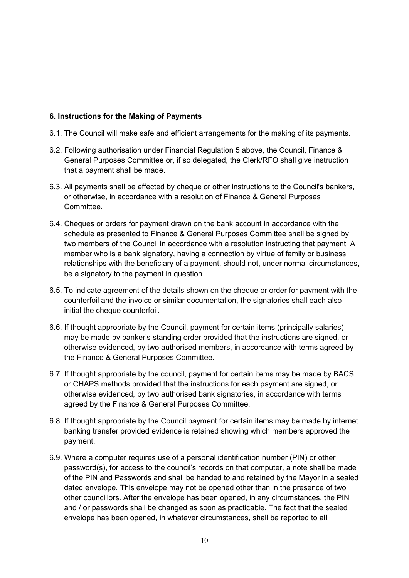## 6. Instructions for the Making of Payments

- 6.1. The Council will make safe and efficient arrangements for the making of its payments.
- 6.2. Following authorisation under Financial Regulation 5 above, the Council, Finance & General Purposes Committee or, if so delegated, the Clerk/RFO shall give instruction that a payment shall be made.
- 6.3. All payments shall be effected by cheque or other instructions to the Council's bankers, or otherwise, in accordance with a resolution of Finance & General Purposes **Committee.**
- 6.4. Cheques or orders for payment drawn on the bank account in accordance with the schedule as presented to Finance & General Purposes Committee shall be signed by two members of the Council in accordance with a resolution instructing that payment. A member who is a bank signatory, having a connection by virtue of family or business relationships with the beneficiary of a payment, should not, under normal circumstances, be a signatory to the payment in question.
- 6.5. To indicate agreement of the details shown on the cheque or order for payment with the counterfoil and the invoice or similar documentation, the signatories shall each also initial the cheque counterfoil.
- 6.6. If thought appropriate by the Council, payment for certain items (principally salaries) may be made by banker's standing order provided that the instructions are signed, or otherwise evidenced, by two authorised members, in accordance with terms agreed by the Finance & General Purposes Committee.
- 6.7. If thought appropriate by the council, payment for certain items may be made by BACS or CHAPS methods provided that the instructions for each payment are signed, or otherwise evidenced, by two authorised bank signatories, in accordance with terms agreed by the Finance & General Purposes Committee.
- 6.8. If thought appropriate by the Council payment for certain items may be made by internet banking transfer provided evidence is retained showing which members approved the payment.
- 6.9. Where a computer requires use of a personal identification number (PIN) or other password(s), for access to the council's records on that computer, a note shall be made of the PIN and Passwords and shall be handed to and retained by the Mayor in a sealed dated envelope. This envelope may not be opened other than in the presence of two other councillors. After the envelope has been opened, in any circumstances, the PIN and / or passwords shall be changed as soon as practicable. The fact that the sealed envelope has been opened, in whatever circumstances, shall be reported to all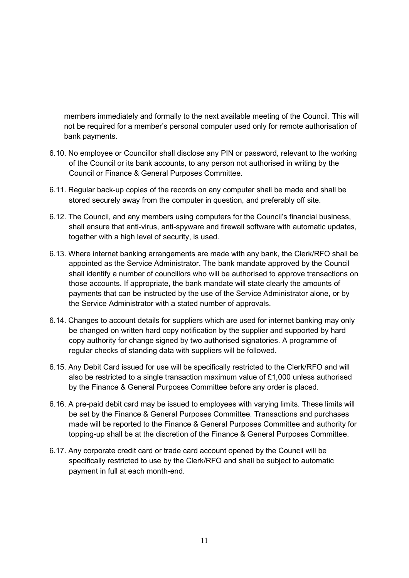members immediately and formally to the next available meeting of the Council. This will not be required for a member's personal computer used only for remote authorisation of bank payments.

- 6.10. No employee or Councillor shall disclose any PIN or password, relevant to the working of the Council or its bank accounts, to any person not authorised in writing by the Council or Finance & General Purposes Committee.
- 6.11. Regular back-up copies of the records on any computer shall be made and shall be stored securely away from the computer in question, and preferably off site.
- 6.12. The Council, and any members using computers for the Council's financial business, shall ensure that anti-virus, anti-spyware and firewall software with automatic updates, together with a high level of security, is used.
- 6.13. Where internet banking arrangements are made with any bank, the Clerk/RFO shall be appointed as the Service Administrator. The bank mandate approved by the Council shall identify a number of councillors who will be authorised to approve transactions on those accounts. If appropriate, the bank mandate will state clearly the amounts of payments that can be instructed by the use of the Service Administrator alone, or by the Service Administrator with a stated number of approvals.
- 6.14. Changes to account details for suppliers which are used for internet banking may only be changed on written hard copy notification by the supplier and supported by hard copy authority for change signed by two authorised signatories. A programme of regular checks of standing data with suppliers will be followed.
- 6.15. Any Debit Card issued for use will be specifically restricted to the Clerk/RFO and will also be restricted to a single transaction maximum value of £1,000 unless authorised by the Finance & General Purposes Committee before any order is placed.
- 6.16. A pre-paid debit card may be issued to employees with varying limits. These limits will be set by the Finance & General Purposes Committee. Transactions and purchases made will be reported to the Finance & General Purposes Committee and authority for topping-up shall be at the discretion of the Finance & General Purposes Committee.
- 6.17. Any corporate credit card or trade card account opened by the Council will be specifically restricted to use by the Clerk/RFO and shall be subject to automatic payment in full at each month-end.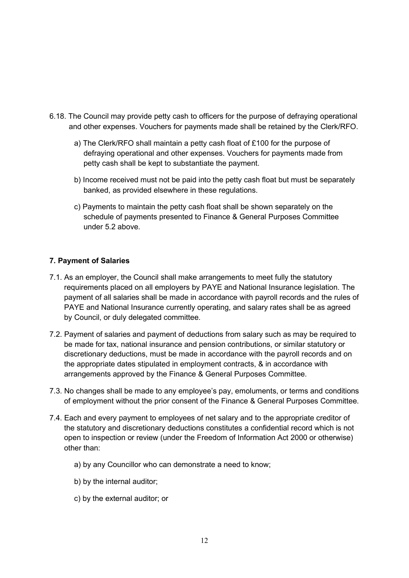- 6.18. The Council may provide petty cash to officers for the purpose of defraying operational and other expenses. Vouchers for payments made shall be retained by the Clerk/RFO.
	- a) The Clerk/RFO shall maintain a petty cash float of £100 for the purpose of defraying operational and other expenses. Vouchers for payments made from petty cash shall be kept to substantiate the payment.
	- b) Income received must not be paid into the petty cash float but must be separately banked, as provided elsewhere in these regulations.
	- c) Payments to maintain the petty cash float shall be shown separately on the schedule of payments presented to Finance & General Purposes Committee under 5.2 above.

## 7. Payment of Salaries

- 7.1. As an employer, the Council shall make arrangements to meet fully the statutory requirements placed on all employers by PAYE and National Insurance legislation. The payment of all salaries shall be made in accordance with payroll records and the rules of PAYE and National Insurance currently operating, and salary rates shall be as agreed by Council, or duly delegated committee.
- 7.2. Payment of salaries and payment of deductions from salary such as may be required to be made for tax, national insurance and pension contributions, or similar statutory or discretionary deductions, must be made in accordance with the payroll records and on the appropriate dates stipulated in employment contracts, & in accordance with arrangements approved by the Finance & General Purposes Committee.
- 7.3. No changes shall be made to any employee's pay, emoluments, or terms and conditions of employment without the prior consent of the Finance & General Purposes Committee.
- 7.4. Each and every payment to employees of net salary and to the appropriate creditor of the statutory and discretionary deductions constitutes a confidential record which is not open to inspection or review (under the Freedom of Information Act 2000 or otherwise) other than:
	- a) by any Councillor who can demonstrate a need to know;
	- b) by the internal auditor;
	- c) by the external auditor; or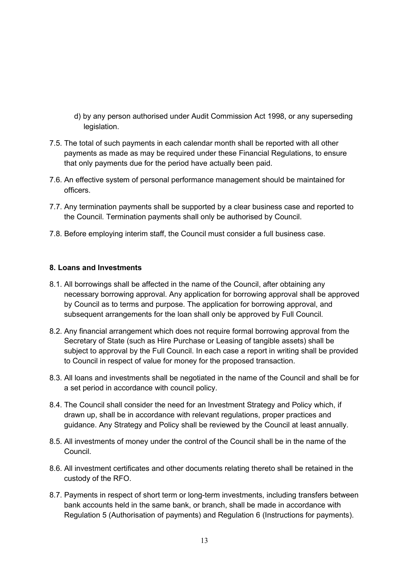- d) by any person authorised under Audit Commission Act 1998, or any superseding legislation.
- 7.5. The total of such payments in each calendar month shall be reported with all other payments as made as may be required under these Financial Regulations, to ensure that only payments due for the period have actually been paid.
- 7.6. An effective system of personal performance management should be maintained for officers.
- 7.7. Any termination payments shall be supported by a clear business case and reported to the Council. Termination payments shall only be authorised by Council.
- 7.8. Before employing interim staff, the Council must consider a full business case.

## 8. Loans and Investments

- 8.1. All borrowings shall be affected in the name of the Council, after obtaining any necessary borrowing approval. Any application for borrowing approval shall be approved by Council as to terms and purpose. The application for borrowing approval, and subsequent arrangements for the loan shall only be approved by Full Council.
- 8.2. Any financial arrangement which does not require formal borrowing approval from the Secretary of State (such as Hire Purchase or Leasing of tangible assets) shall be subject to approval by the Full Council. In each case a report in writing shall be provided to Council in respect of value for money for the proposed transaction.
- 8.3. All loans and investments shall be negotiated in the name of the Council and shall be for a set period in accordance with council policy.
- 8.4. The Council shall consider the need for an Investment Strategy and Policy which, if drawn up, shall be in accordance with relevant regulations, proper practices and guidance. Any Strategy and Policy shall be reviewed by the Council at least annually.
- 8.5. All investments of money under the control of the Council shall be in the name of the Council.
- 8.6. All investment certificates and other documents relating thereto shall be retained in the custody of the RFO.
- 8.7. Payments in respect of short term or long-term investments, including transfers between bank accounts held in the same bank, or branch, shall be made in accordance with Regulation 5 (Authorisation of payments) and Regulation 6 (Instructions for payments).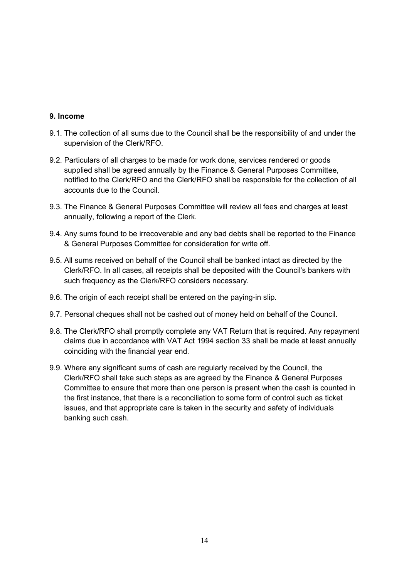## 9. Income

- 9.1. The collection of all sums due to the Council shall be the responsibility of and under the supervision of the Clerk/RFO.
- 9.2. Particulars of all charges to be made for work done, services rendered or goods supplied shall be agreed annually by the Finance & General Purposes Committee, notified to the Clerk/RFO and the Clerk/RFO shall be responsible for the collection of all accounts due to the Council.
- 9.3. The Finance & General Purposes Committee will review all fees and charges at least annually, following a report of the Clerk.
- 9.4. Any sums found to be irrecoverable and any bad debts shall be reported to the Finance & General Purposes Committee for consideration for write off.
- 9.5. All sums received on behalf of the Council shall be banked intact as directed by the Clerk/RFO. In all cases, all receipts shall be deposited with the Council's bankers with such frequency as the Clerk/RFO considers necessary.
- 9.6. The origin of each receipt shall be entered on the paying-in slip.
- 9.7. Personal cheques shall not be cashed out of money held on behalf of the Council.
- 9.8. The Clerk/RFO shall promptly complete any VAT Return that is required. Any repayment claims due in accordance with VAT Act 1994 section 33 shall be made at least annually coinciding with the financial year end.
- 9.9. Where any significant sums of cash are regularly received by the Council, the Clerk/RFO shall take such steps as are agreed by the Finance & General Purposes Committee to ensure that more than one person is present when the cash is counted in the first instance, that there is a reconciliation to some form of control such as ticket issues, and that appropriate care is taken in the security and safety of individuals banking such cash.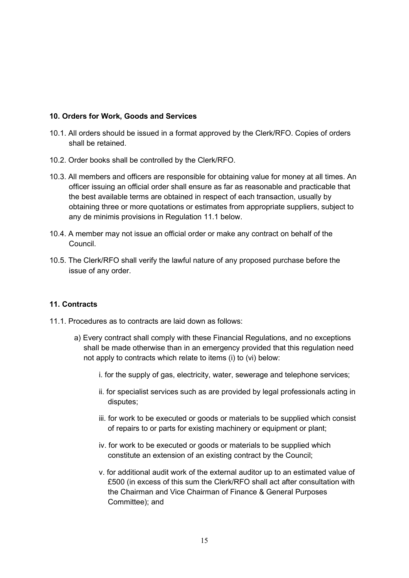## 10. Orders for Work, Goods and Services

- 10.1. All orders should be issued in a format approved by the Clerk/RFO. Copies of orders shall be retained.
- 10.2. Order books shall be controlled by the Clerk/RFO.
- 10.3. All members and officers are responsible for obtaining value for money at all times. An officer issuing an official order shall ensure as far as reasonable and practicable that the best available terms are obtained in respect of each transaction, usually by obtaining three or more quotations or estimates from appropriate suppliers, subject to any de minimis provisions in Regulation 11.1 below.
- 10.4. A member may not issue an official order or make any contract on behalf of the Council.
- 10.5. The Clerk/RFO shall verify the lawful nature of any proposed purchase before the issue of any order.

#### 11. Contracts

- 11.1. Procedures as to contracts are laid down as follows:
	- a) Every contract shall comply with these Financial Regulations, and no exceptions shall be made otherwise than in an emergency provided that this regulation need not apply to contracts which relate to items (i) to (vi) below:
		- i. for the supply of gas, electricity, water, sewerage and telephone services;
		- ii. for specialist services such as are provided by legal professionals acting in disputes;
		- iii. for work to be executed or goods or materials to be supplied which consist of repairs to or parts for existing machinery or equipment or plant;
		- iv. for work to be executed or goods or materials to be supplied which constitute an extension of an existing contract by the Council;
		- v. for additional audit work of the external auditor up to an estimated value of £500 (in excess of this sum the Clerk/RFO shall act after consultation with the Chairman and Vice Chairman of Finance & General Purposes Committee); and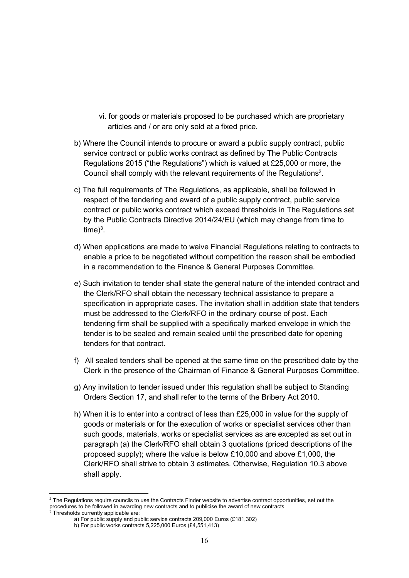- vi. for goods or materials proposed to be purchased which are proprietary articles and / or are only sold at a fixed price.
- b) Where the Council intends to procure or award a public supply contract, public service contract or public works contract as defined by The Public Contracts Regulations 2015 ("the Regulations") which is valued at £25,000 or more, the Council shall comply with the relevant requirements of the Regulations<sup>2</sup>.
- c) The full requirements of The Regulations, as applicable, shall be followed in respect of the tendering and award of a public supply contract, public service contract or public works contract which exceed thresholds in The Regulations set by the Public Contracts Directive 2014/24/EU (which may change from time to time) $^3$ .
- d) When applications are made to waive Financial Regulations relating to contracts to enable a price to be negotiated without competition the reason shall be embodied in a recommendation to the Finance & General Purposes Committee.
- e) Such invitation to tender shall state the general nature of the intended contract and the Clerk/RFO shall obtain the necessary technical assistance to prepare a specification in appropriate cases. The invitation shall in addition state that tenders must be addressed to the Clerk/RFO in the ordinary course of post. Each tendering firm shall be supplied with a specifically marked envelope in which the tender is to be sealed and remain sealed until the prescribed date for opening tenders for that contract.
- f) All sealed tenders shall be opened at the same time on the prescribed date by the Clerk in the presence of the Chairman of Finance & General Purposes Committee.
- g) Any invitation to tender issued under this regulation shall be subject to Standing Orders Section 17, and shall refer to the terms of the Bribery Act 2010.
- h) When it is to enter into a contract of less than £25,000 in value for the supply of goods or materials or for the execution of works or specialist services other than such goods, materials, works or specialist services as are excepted as set out in paragraph (a) the Clerk/RFO shall obtain 3 quotations (priced descriptions of the proposed supply); where the value is below £10,000 and above £1,000, the Clerk/RFO shall strive to obtain 3 estimates. Otherwise, Regulation 10.3 above shall apply.

 $^2$  The Regulations require councils to use the Contracts Finder website to advertise contract opportunities, set out the procedures to be followed in awarding new contracts and to publicise the award of new contracts<br><sup>3</sup> Thresholds currently applicable are:

Thresholds currently applicable are:

a) For public supply and public service contracts 209,000 Euros (£181,302)

b) For public works contracts 5,225,000 Euros (£4,551,413)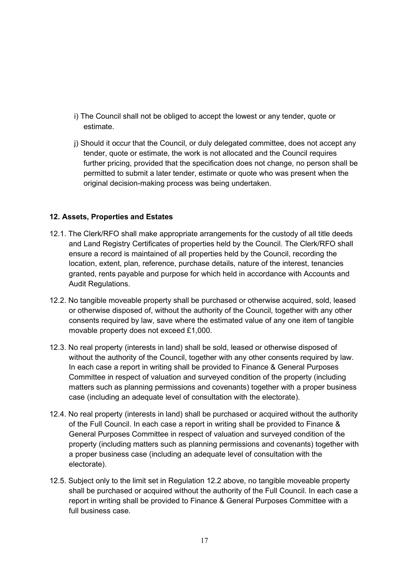- i) The Council shall not be obliged to accept the lowest or any tender, quote or estimate.
- j) Should it occur that the Council, or duly delegated committee, does not accept any tender, quote or estimate, the work is not allocated and the Council requires further pricing, provided that the specification does not change, no person shall be permitted to submit a later tender, estimate or quote who was present when the original decision-making process was being undertaken.

## 12. Assets, Properties and Estates

- 12.1. The Clerk/RFO shall make appropriate arrangements for the custody of all title deeds and Land Registry Certificates of properties held by the Council. The Clerk/RFO shall ensure a record is maintained of all properties held by the Council, recording the location, extent, plan, reference, purchase details, nature of the interest, tenancies granted, rents payable and purpose for which held in accordance with Accounts and Audit Regulations.
- 12.2. No tangible moveable property shall be purchased or otherwise acquired, sold, leased or otherwise disposed of, without the authority of the Council, together with any other consents required by law, save where the estimated value of any one item of tangible movable property does not exceed £1,000.
- 12.3. No real property (interests in land) shall be sold, leased or otherwise disposed of without the authority of the Council, together with any other consents required by law. In each case a report in writing shall be provided to Finance & General Purposes Committee in respect of valuation and surveyed condition of the property (including matters such as planning permissions and covenants) together with a proper business case (including an adequate level of consultation with the electorate).
- 12.4. No real property (interests in land) shall be purchased or acquired without the authority of the Full Council. In each case a report in writing shall be provided to Finance & General Purposes Committee in respect of valuation and surveyed condition of the property (including matters such as planning permissions and covenants) together with a proper business case (including an adequate level of consultation with the electorate).
- 12.5. Subject only to the limit set in Regulation 12.2 above, no tangible moveable property shall be purchased or acquired without the authority of the Full Council. In each case a report in writing shall be provided to Finance & General Purposes Committee with a full business case.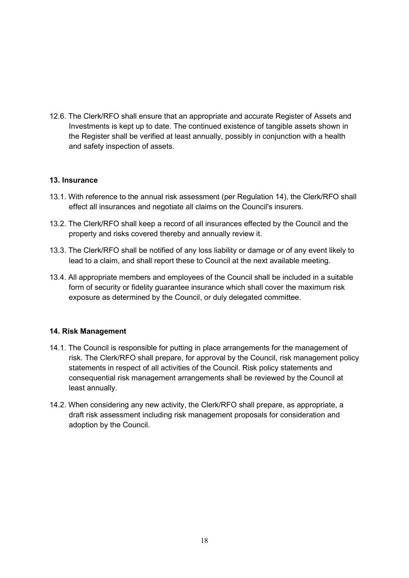12.6. The Clerk/RFO shall ensure that an appropriate and accurate Register of Assets and Investments is kept up to date. The continued existence of tangible assets shown in the Register shall be verified at least annually, possibly in conjunction with a health and safety inspection of assets.

## 13. Insurance

- 13.1. With reference to the annual risk assessment (per Regulation 14), the Clerk/RFO shall effect all insurances and negotiate all claims on the Council's insurers.
- 13.2. The Clerk/RFO shall keep a record of all insurances effected by the Council and the property and risks covered thereby and annually review it.
- 13.3. The Clerk/RFO shall be notified of any loss liability or damage or of any event likely to lead to a claim, and shall report these to Council at the next available meeting.
- 13.4. All appropriate members and employees of the Council shall be included in a suitable form of security or fidelity guarantee insurance which shall cover the maximum risk exposure as determined by the Council, or duly delegated committee.

#### 14. Risk Management

- 14.1. The Council is responsible for putting in place arrangements for the management of risk. The Clerk/RFO shall prepare, for approval by the Council, risk management policy statements in respect of all activities of the Council. Risk policy statements and consequential risk management arrangements shall be reviewed by the Council at least annually.
- 14.2. When considering any new activity, the Clerk/RFO shall prepare, as appropriate, a draft risk assessment including risk management proposals for consideration and adoption by the Council.